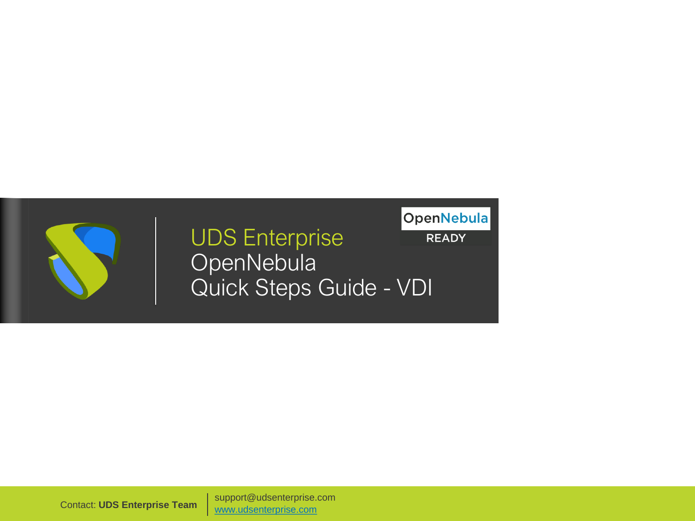### UDS Enterprise **OpenNebula** Quick Steps Guide - VDI

**OpenNebula READY** 

support@udsenterprise.com Contact: **UDS Enterprise Team** [www.udsenterprise.com](http://www.udsenterprise.com/)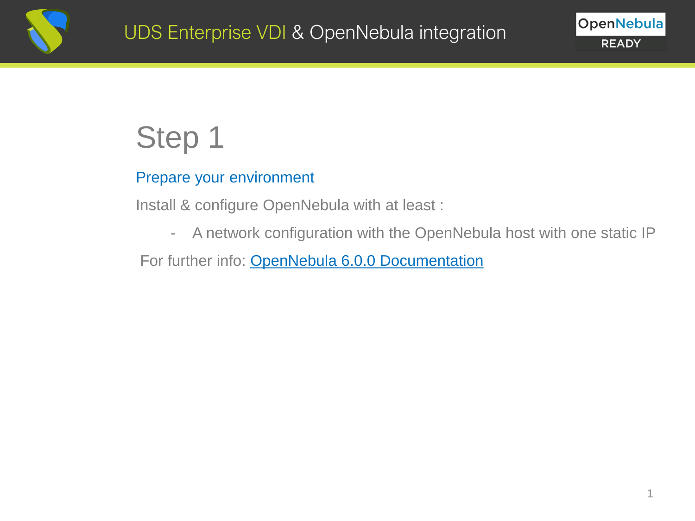

#### Prepare your environment

Install & configure OpenNebula with at least :

- A network configuration with the OpenNebula host with one static IP

For further info: [OpenNebula 6.0.0 Documentation](https://docs.opennebula.io/6.0/)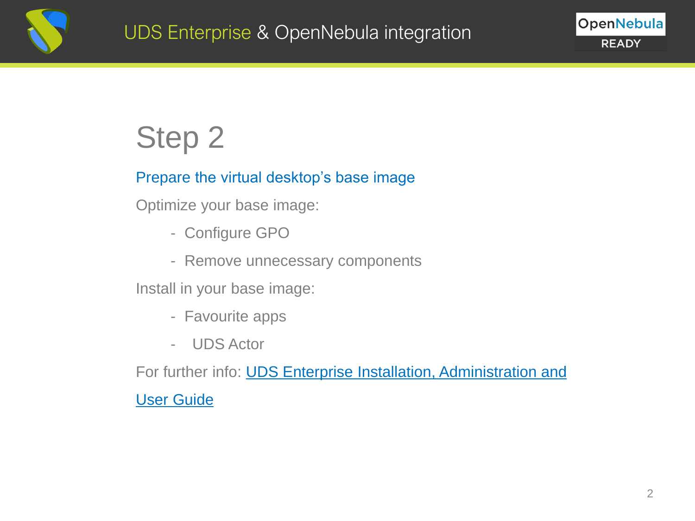

#### Prepare the virtual desktop's base image

Optimize your base image:

- Configure GPO
- Remove unnecessary components

Install in your base image:

- Favourite apps
- UDS Actor

For further info: **UDS Enterprise Installation, Administration and** 

User Guide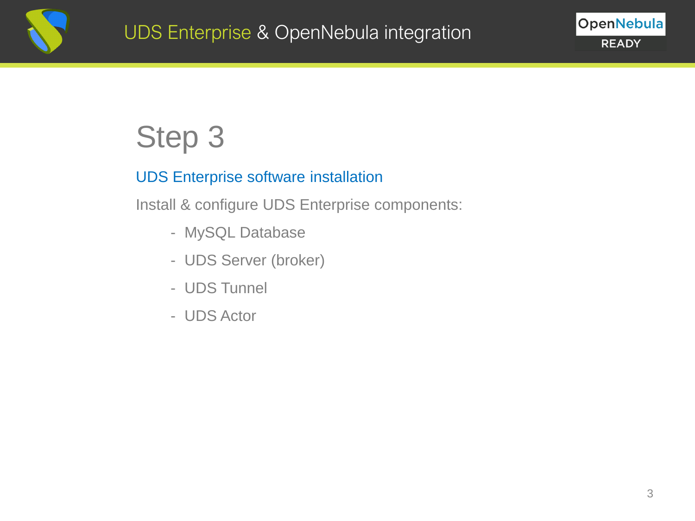

#### UDS Enterprise software installation

Install & configure UDS Enterprise components:

- MySQL Database
- UDS Server (broker)
- UDS Tunnel
- UDS Actor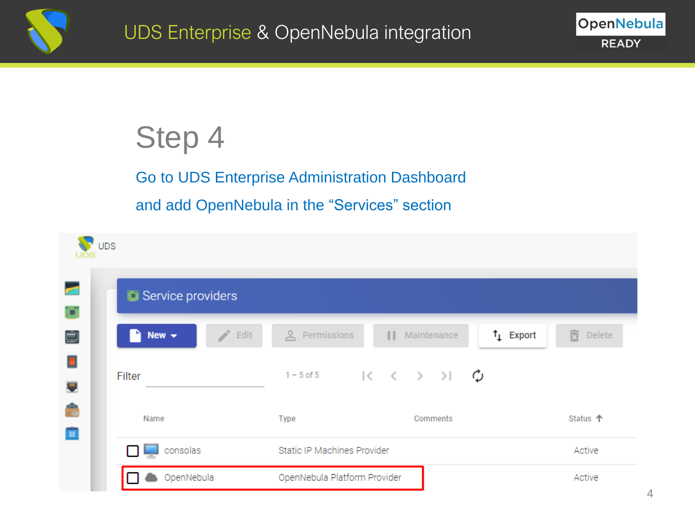

Go to UDS Enterprise Administration Dashboard and add OpenNebula in the "Services" section

| $\bigvee$ UDS            |                                                                                |             |
|--------------------------|--------------------------------------------------------------------------------|-------------|
| Service providers        |                                                                                |             |
| r.<br>Edit<br>New $\sim$ | $t_{\perp}$ Export<br>e Permissions<br>   Maintenance                          | 亩<br>Delete |
| Filter                   | 1-5 of 5 $\langle \langle \rangle \rangle$ $\langle \rangle$ $\langle \rangle$ |             |
| Name                     | <b>Type</b><br>Comments                                                        | Status 个    |
| consolas                 | Static IP Machines Provider                                                    | Active      |
| OpenNebula               | OpenNebula Platform Provider                                                   | Active      |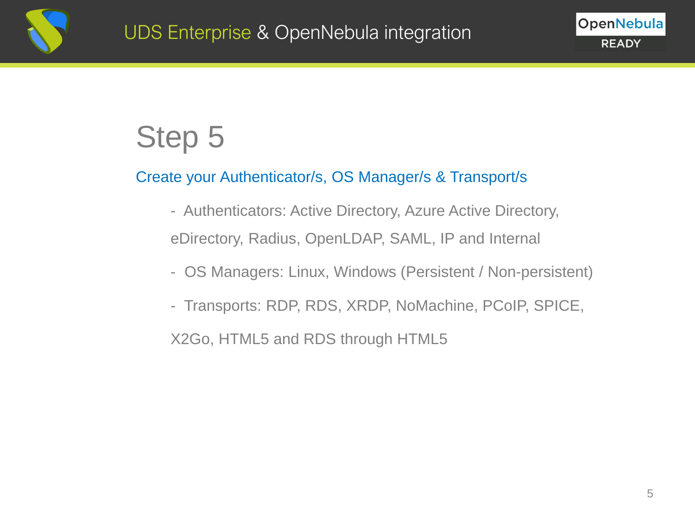

#### Create your Authenticator/s, OS Manager/s & Transport/s

- Authenticators: Active Directory, Azure Active Directory, eDirectory, Radius, OpenLDAP, SAML, IP and Internal
- OS Managers: Linux, Windows (Persistent / Non-persistent)
- Transports: RDP, RDS, XRDP, NoMachine, PCoIP, SPICE,

X2Go, HTML5 and RDS through HTML5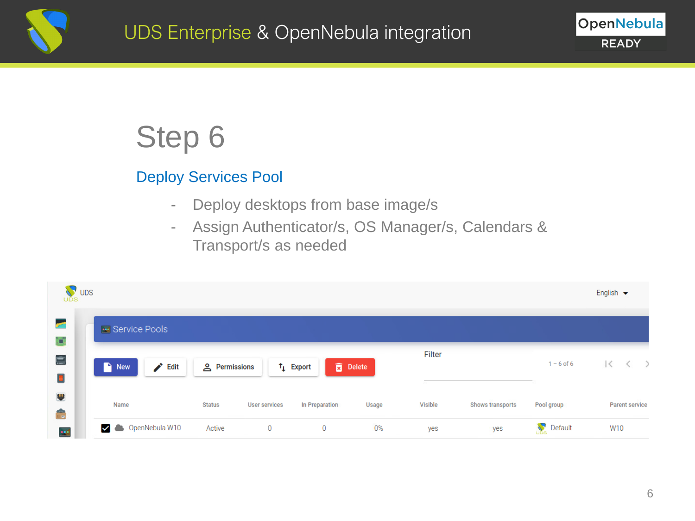

#### Deploy Services Pool

- Deploy desktops from base image/s
- Assign Authenticator/s, OS Manager/s, Calendars & Transport/s as needed

| <b>V</b> UDS    |                                   |                      |                      |                   |                 |                |                  |              | English $\blacktriangleright$ |
|-----------------|-----------------------------------|----------------------|----------------------|-------------------|-----------------|----------------|------------------|--------------|-------------------------------|
| <u>aa</u><br>þ. | Service Pools                     |                      |                      |                   |                 |                |                  |              |                               |
| Ė<br>Ð          | $\blacktriangleright$ Edit<br>New | <u>A</u> Permissions |                      | $\uparrow$ Export | <b>B</b> Delete | Filter         |                  | $1 - 6$ of 6 | ТC                            |
| $\blacksquare$  | Name                              | <b>Status</b>        | <b>User services</b> | In Preparation    | Usage           | <b>Visible</b> | Shows transports | Pool group   | <b>Parent service</b>         |
| 22              | OpenNebula W10                    | Active               | $\mathbf{0}$         | 0                 | 0%              | yes            | yes              | Default      | W10                           |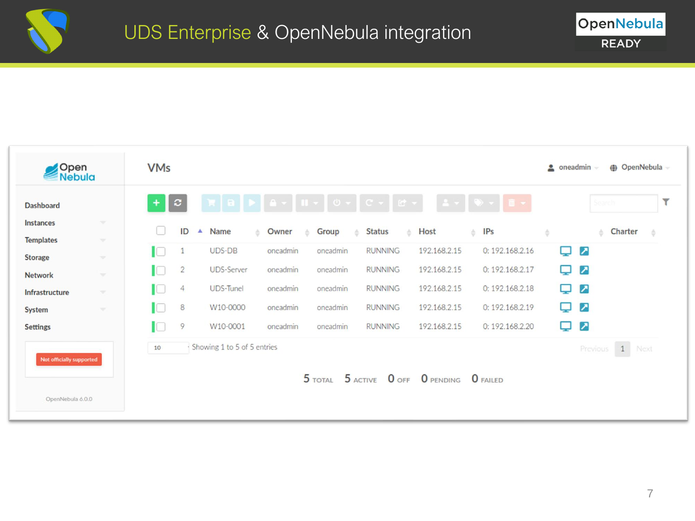

| Open<br>Nebula           |               | <b>VMs</b> |                  |                                 |              |                                                               |                     |                                           |                  |     | (+ OpenNebula -<br>$\bullet$ oneadmin $\bullet$ |   |
|--------------------------|---------------|------------|------------------|---------------------------------|--------------|---------------------------------------------------------------|---------------------|-------------------------------------------|------------------|-----|-------------------------------------------------|---|
| <b>Dashboard</b>         |               | $\ddot{}$  | $\boldsymbol{c}$ |                                 |              | ₹   8   9   4 <del>&gt;</del>   11 +   0 +   C +   <i>C</i> + |                     |                                           |                  |     | Search                                          | ۳ |
| Instances                | <b>Star</b>   |            | ID               | $\blacktriangle$<br><b>Name</b> | ≜ Owner<br>스 | Group                                                         | <b>Status</b><br>A. | Host                                      | $\triangleq$ IPs | ÷   | Charter<br>÷.                                   |   |
| <b>Templates</b>         | <b>SP</b>     | IO         |                  | UDS-DB                          | oneadmin     | oneadmin                                                      | <b>RUNNING</b>      | 192.168.2.15                              | 0: 192.168.2.16  | پ   | ↗                                               |   |
| <b>Storage</b>           | w.            | IC         | $\overline{2}$   | <b>UDS-Server</b>               | oneadmin     | oneadmin                                                      | <b>RUNNING</b>      | 192.168.2.15                              | 0: 192.168.2.17  | پ   | ↗                                               |   |
| <b>Network</b>           | $\mathcal{M}$ |            | 4                | <b>UDS-Tunel</b>                | oneadmin     | oneadmin                                                      | <b>RUNNING</b>      | 192.168.2.15                              | 0: 192.168.2.18  |     | ↗                                               |   |
| Infrastructure           | ×.            | H          |                  |                                 |              |                                                               |                     |                                           |                  | پ   |                                                 |   |
| <b>System</b>            | $\mathcal{L}$ | HO.        | 8                | W10-0000                        | oneadmin     | oneadmin                                                      | <b>RUNNING</b>      | 192.168.2.15                              | 0: 192.168.2.19  | پ   | ↗                                               |   |
| <b>Settings</b>          |               | HO.        | 9                | W10-0001                        | oneadmin     | oneadmin                                                      | <b>RUNNING</b>      | 192.168.2.15                              | 0: 192.168.2.20  | ىيا | ↗                                               |   |
|                          |               | 10         |                  | Showing 1 to 5 of 5 entries     |              |                                                               |                     |                                           |                  |     | 1 Next<br>Previous                              |   |
| Not officially supported |               |            |                  |                                 |              |                                                               |                     | 5 TOTAL 5 ACTIVE 0 OFF 0 PENDING 0 FAILED |                  |     |                                                 |   |
| OpenNebula 6.0.0         |               |            |                  |                                 |              |                                                               |                     |                                           |                  |     |                                                 |   |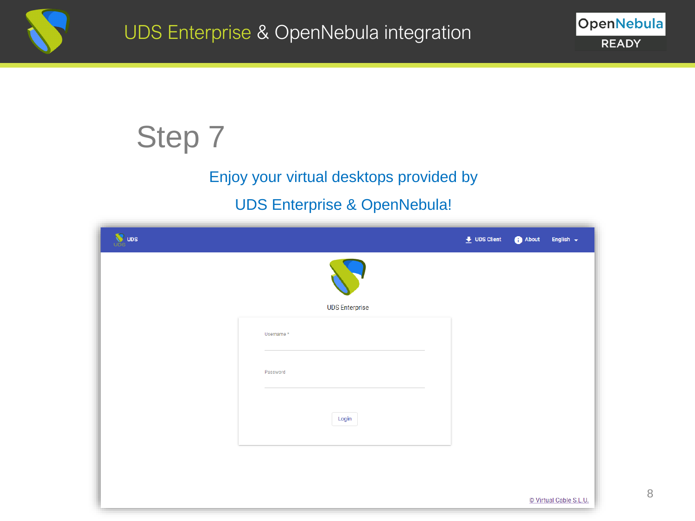

#### Enjoy your virtual desktops provided by

#### UDS Enterprise & OpenNebula!

| <b>W</b> UDS |                       | $\bullet$ UDS Client | About<br>English $\leftarrow$ |
|--------------|-----------------------|----------------------|-------------------------------|
|              |                       |                      |                               |
|              | <b>UDS Enterprise</b> |                      |                               |
|              | Username*             |                      |                               |
|              |                       |                      |                               |
|              | Password              |                      |                               |
|              |                       |                      |                               |
|              | Login                 |                      |                               |
|              |                       |                      |                               |
|              |                       |                      |                               |
|              |                       |                      | © Virtual Cable S.L.U.        |